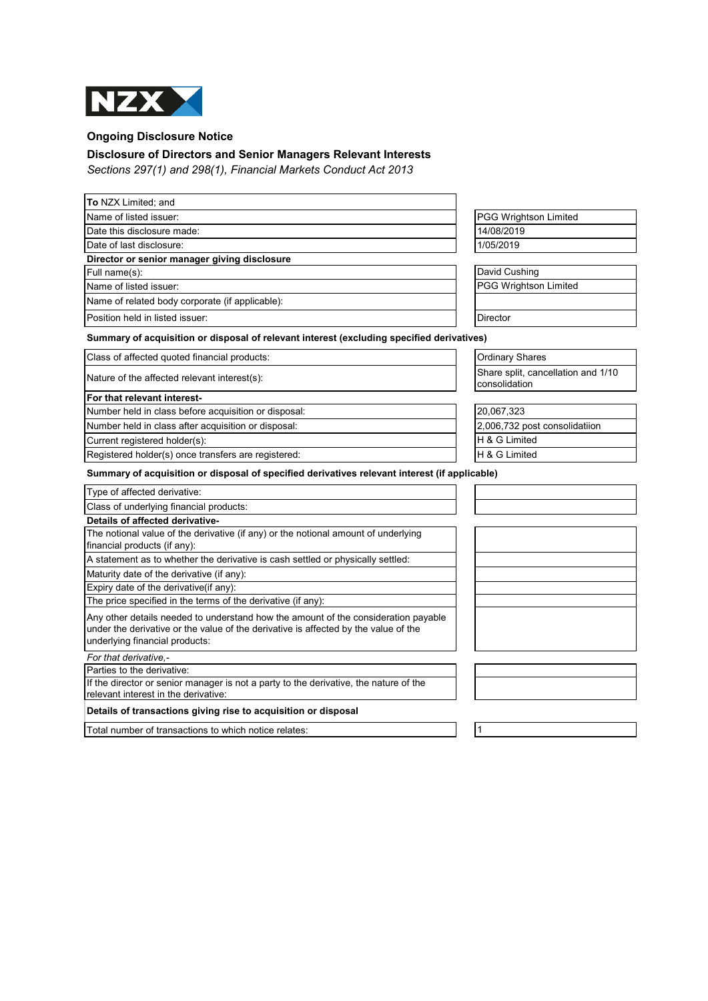

## **Ongoing Disclosure Notice**

## **Disclosure of Directors and Senior Managers Relevant Interests**

*Sections 297(1) and 298(1), Financial Markets Conduct Act 2013*

| <b>To NZX Limited; and</b>                                                                                                                                                                                  |                                                     |
|-------------------------------------------------------------------------------------------------------------------------------------------------------------------------------------------------------------|-----------------------------------------------------|
| Name of listed issuer:                                                                                                                                                                                      | <b>PGG Wrightson Limited</b>                        |
| Date this disclosure made:                                                                                                                                                                                  | 14/08/2019                                          |
| Date of last disclosure:                                                                                                                                                                                    | 1/05/2019                                           |
| Director or senior manager giving disclosure                                                                                                                                                                |                                                     |
| Full name(s):                                                                                                                                                                                               | David Cushing                                       |
| Name of listed issuer:                                                                                                                                                                                      | <b>PGG Wrightson Limited</b>                        |
| Name of related body corporate (if applicable):                                                                                                                                                             |                                                     |
| Position held in listed issuer:                                                                                                                                                                             | Director                                            |
| Summary of acquisition or disposal of relevant interest (excluding specified derivatives)                                                                                                                   |                                                     |
| Class of affected quoted financial products:                                                                                                                                                                | <b>Ordinary Shares</b>                              |
| Nature of the affected relevant interest(s):                                                                                                                                                                | Share split, cancellation and 1/10<br>consolidation |
| For that relevant interest-                                                                                                                                                                                 |                                                     |
| Number held in class before acquisition or disposal:                                                                                                                                                        | 20,067,323                                          |
| Number held in class after acquisition or disposal:                                                                                                                                                         | 2,006,732 post consolidatiion                       |
| Current registered holder(s):                                                                                                                                                                               | H & G Limited                                       |
| Registered holder(s) once transfers are registered:                                                                                                                                                         | H & G Limited                                       |
| Summary of acquisition or disposal of specified derivatives relevant interest (if applicable)                                                                                                               |                                                     |
| Type of affected derivative:                                                                                                                                                                                |                                                     |
| Class of underlying financial products:                                                                                                                                                                     |                                                     |
| Details of affected derivative-                                                                                                                                                                             |                                                     |
| The notional value of the derivative (if any) or the notional amount of underlying<br>financial products (if any):                                                                                          |                                                     |
| A statement as to whether the derivative is cash settled or physically settled:                                                                                                                             |                                                     |
| Maturity date of the derivative (if any):                                                                                                                                                                   |                                                     |
| Expiry date of the derivative(if any):                                                                                                                                                                      |                                                     |
| The price specified in the terms of the derivative (if any):                                                                                                                                                |                                                     |
| Any other details needed to understand how the amount of the consideration payable<br>under the derivative or the value of the derivative is affected by the value of the<br>underlying financial products: |                                                     |
| For that derivative.-                                                                                                                                                                                       |                                                     |
| Parties to the derivative:                                                                                                                                                                                  |                                                     |
| If the director or senior manager is not a party to the derivative, the nature of the<br>relevant interest in the derivative:                                                                               |                                                     |
| Details of transactions giving rise to acquisition or disposal                                                                                                                                              |                                                     |
| Total number of transactions to which notice relates:                                                                                                                                                       | $\mathbf{1}$                                        |